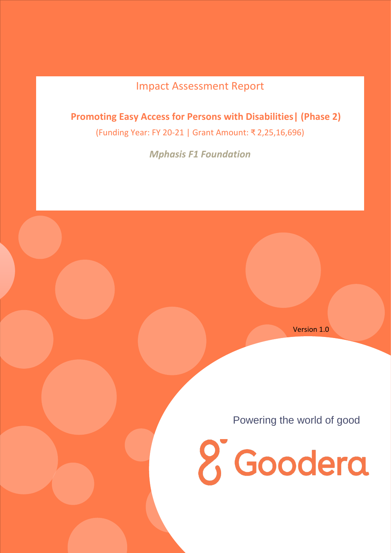# Impact Assessment Report

 **Promoting Easy Access for Persons with Disabilities| (Phase 2)**

(Funding Year: FY 20-21 | Grant Amount: ₹ 2,25,16,696)

*Mphasis F1 Foundation*

Version 1.0

Powering the world of good

*<u>8* Goodera</u>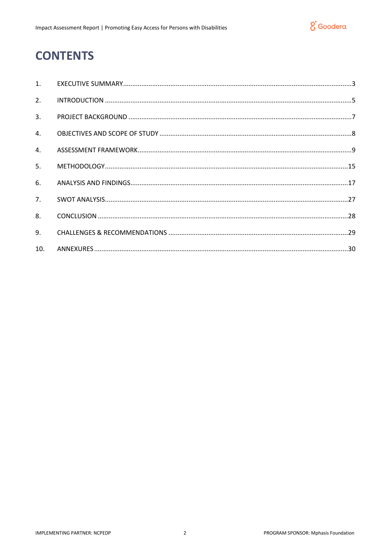

# **CONTENTS**

| $\mathbf{1}$ . |  |
|----------------|--|
| 2.             |  |
| 3.             |  |
| 4.             |  |
| 4.             |  |
| 5.             |  |
| 6.             |  |
| 7.             |  |
| 8.             |  |
| 9.             |  |
| 10.            |  |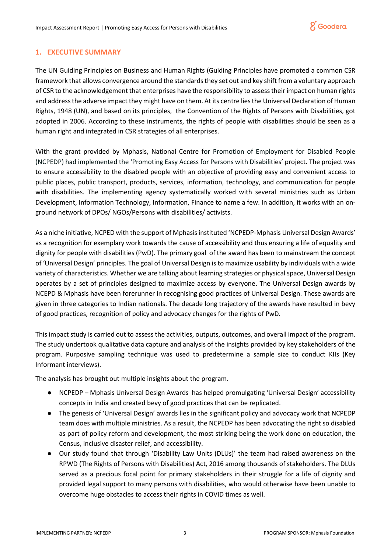# <span id="page-2-0"></span>**1. EXECUTIVE SUMMARY**

The UN Guiding Principles on Business and Human Rights (Guiding Principles have promoted a common CSR framework that allows convergence around the standards they set out and key shift from a voluntary approach of CSR to the acknowledgement that enterprises have the responsibility to assess their impact on human rights and address the adverse impact they might have on them. At its centre lies the Universal Declaration of Human Rights, 1948 (UN), and based on its principles, the Convention of the Rights of Persons with Disabilities, got adopted in 2006. According to these instruments, the rights of people with disabilities should be seen as a human right and integrated in CSR strategies of all enterprises.

With the grant provided by Mphasis, National Centre for Promotion of Employment for Disabled People (NCPEDP) had implemented the 'Promoting Easy Access for Persons with Disabilities' project. The project was to ensure accessibility to the disabled people with an objective of providing easy and convenient access to public places, public transport, products, services, information, technology, and communication for people with disabilities. The implementing agency systematically worked with several ministries such as Urban Development, Information Technology, Information, Finance to name a few. In addition, it works with an onground network of DPOs/ NGOs/Persons with disabilities/ activists.

As a niche initiative, NCPED with the support of Mphasis instituted 'NCPEDP-Mphasis Universal Design Awards' as a recognition for exemplary work towards the cause of accessibility and thus ensuring a life of equality and dignity for people with disabilities (PwD). The primary goal of the award has been to mainstream the concept of 'Universal Design' principles. The goal of Universal Design is to maximize usability by individuals with a wide variety of characteristics. Whether we are talking about learning strategies or physical space, Universal Design operates by a set of principles designed to maximize access by everyone. The Universal Design awards by NCEPD & Mphasis have been forerunner in recognising good practices of Universal Design. These awards are given in three categories to Indian nationals. The decade long trajectory of the awards have resulted in bevy of good practices, recognition of policy and advocacy changes for the rights of PwD.

This impact study is carried out to assess the activities, outputs, outcomes, and overall impact of the program. The study undertook qualitative data capture and analysis of the insights provided by key stakeholders of the program. Purposive sampling technique was used to predetermine a sample size to conduct KIIs (Key Informant interviews).

The analysis has brought out multiple insights about the program.

- NCPEDP Mphasis Universal Design Awards has helped promulgating 'Universal Design' accessibility concepts in India and created bevy of good practices that can be replicated.
- The genesis of 'Universal Design' awards lies in the significant policy and advocacy work that NCPEDP team does with multiple ministries. As a result, the NCPEDP has been advocating the right so disabled as part of policy reform and development, the most striking being the work done on education, the Census, inclusive disaster relief, and accessibility.
- Our study found that through 'Disability Law Units (DLUs)' the team had raised awareness on the RPWD (The Rights of Persons with Disabilities) Act, 2016 among thousands of stakeholders. The DLUs served as a precious focal point for primary stakeholders in their struggle for a life of dignity and provided legal support to many persons with disabilities, who would otherwise have been unable to overcome huge obstacles to access their rights in COVID times as well.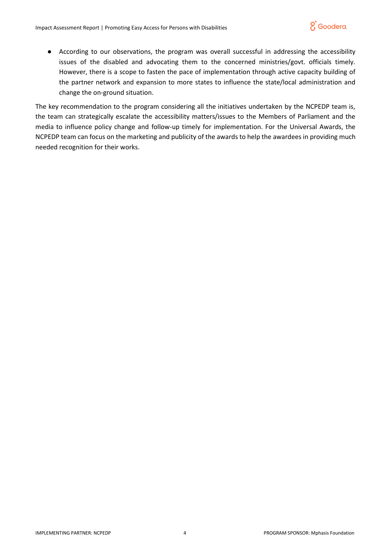

● According to our observations, the program was overall successful in addressing the accessibility issues of the disabled and advocating them to the concerned ministries/govt. officials timely. However, there is a scope to fasten the pace of implementation through active capacity building of the partner network and expansion to more states to influence the state/local administration and change the on-ground situation.

The key recommendation to the program considering all the initiatives undertaken by the NCPEDP team is, the team can strategically escalate the accessibility matters/issues to the Members of Parliament and the media to influence policy change and follow-up timely for implementation. For the Universal Awards, the NCPEDP team can focus on the marketing and publicity of the awards to help the awardees in providing much needed recognition for their works.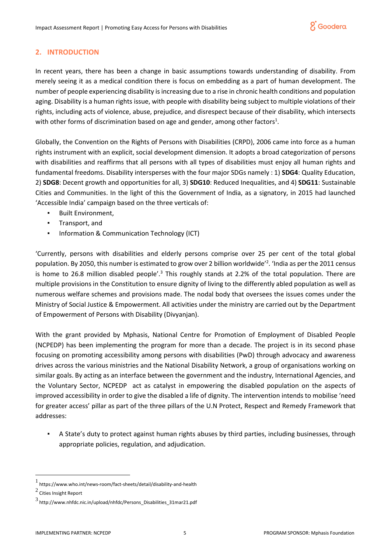# <span id="page-4-0"></span>**2. INTRODUCTION**

In recent years, there has been a change in basic assumptions towards understanding of disability. From merely seeing it as a medical condition there is focus on embedding as a part of human development. The number of people experiencing disability is increasing due to a rise in chronic health conditions and population aging. Disability is a human rights issue, with people with disability being subject to multiple violations of their rights, including acts of violence, abuse, prejudice, and disrespect because of their disability, which intersects with other forms of discrimination based on age and gender, among other factors<sup>1</sup>.

Globally, the Convention on the Rights of Persons with Disabilities (CRPD), 2006 came into force as a human rights instrument with an explicit, social development dimension. It adopts a broad categorization of persons with disabilities and reaffirms that all persons with all types of disabilities must enjoy all human rights and fundamental freedoms. Disability intersperses with the four major SDGs namely : 1) **SDG4**: Quality Education, 2) **SDG8**: Decent growth and opportunities for all, 3) **SDG10**: Reduced Inequalities, and 4) **SDG11**: Sustainable Cities and Communities. In the light of this the Government of India, as a signatory, in 2015 had launched 'Accessible India' campaign based on the three verticals of:

- **Built Environment,**
- Transport, and
- Information & Communication Technology (ICT)

'Currently, persons with disabilities and elderly persons comprise over 25 per cent of the total global population. By 2050, this number is estimated to grow over 2 billion worldwide<sup>'2</sup>. 'India as per the 2011 census is home to 26.8 million disabled people'.<sup>3</sup> This roughly stands at 2.2% of the total population. There are multiple provisions in the Constitution to ensure dignity of living to the differently abled population as well as numerous welfare schemes and provisions made. The nodal body that oversees the issues comes under the Ministry of Social Justice & Empowerment. All activities under the ministry are carried out by the Department of Empowerment of Persons with Disability (Divyanjan).

With the grant provided by Mphasis, National Centre for Promotion of Employment of Disabled People (NCPEDP) has been implementing the program for more than a decade. The project is in its second phase focusing on promoting accessibility among persons with disabilities (PwD) through advocacy and awareness drives across the various ministries and the National Disability Network, a group of organisations working on similar goals. By acting as an interface between the government and the industry, International Agencies, and the Voluntary Sector, NCPEDP act as catalyst in empowering the disabled population on the aspects of improved accessibility in order to give the disabled a life of dignity. The intervention intends to mobilise 'need for greater access' pillar as part of the three pillars of the U.N Protect, Respect and Remedy Framework that addresses:

A State's duty to protect against human rights abuses by third parties, including businesses, through appropriate policies, regulation, and adjudication.

<sup>1</sup> https://www.who.int/news-room/fact-sheets/detail/disability-and-health

 $^2$  Cities Insight Report

<sup>3</sup> http://www.nhfdc.nic.in/upload/nhfdc/Persons\_Disabilities\_31mar21.pdf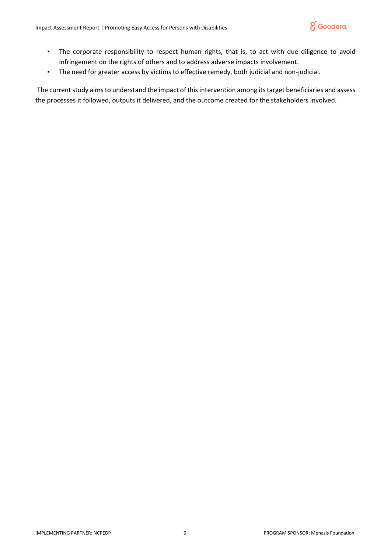

- The corporate responsibility to respect human rights, that is, to act with due diligence to avoid infringement on the rights of others and to address adverse impacts involvement.
- The need for greater access by victims to effective remedy, both judicial and non-judicial.

The current study aims to understand the impact of this intervention among its target beneficiaries and assess the processes it followed, outputs it delivered, and the outcome created for the stakeholders involved.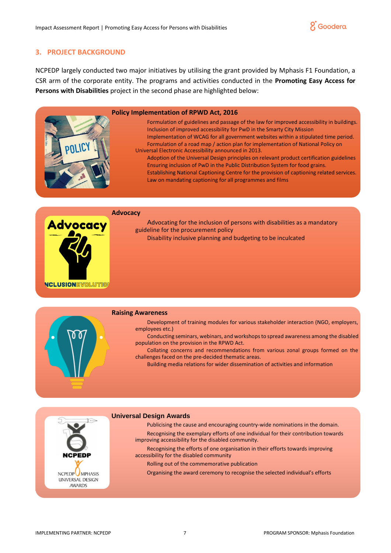

## <span id="page-6-0"></span>**3. PROJECT BACKGROUND**

NCPEDP largely conducted two major initiatives by utilising the grant provided by Mphasis F1 Foundation, a CSR arm of the corporate entity. The programs and activities conducted in the **Promoting Easy Access for Persons with Disabilities** project in the second phase are highlighted below:

#### **Policy Implementation of RPWD Act, 2016**

Formulation of guidelines and passage of the law for improved accessibility in buildings. Inclusion of improved accessibility for PwD in the Smarty City Mission Implementation of WCAG for all government websites within a stipulated time period. Formulation of a road map / action plan for implementation of National Policy on Universal Electronic Accessibility announced in 2013.

Adoption of the Universal Design principles on relevant product certification guidelines Ensuring inclusion of PwD in the Public Distribution System for food grains. Establishing National Captioning Centre for the provision of captioning related services. Law on mandating captioning for all programmes and films

#### **Advocacy**



Advocating for the inclusion of persons with disabilities as a mandatory guideline for the procurement policy Disability inclusive planning and budgeting to be inculcated



#### **Raising Awareness**

Development of training modules for various stakeholder interaction (NGO, employers, employees etc.)

Conducting seminars, webinars, and workshops to spread awareness among the disabled population on the provision in the RPWD Act.

Collating concerns and recommendations from various zonal groups formed on the challenges faced on the pre-decided thematic areas.

Building media relations for wider dissemination of activities and information

#### **Universal Design Awards**

Publicising the cause and encouraging country-wide nominations in the domain. Recognising the exemplary efforts of one individual for their contribution towards improving accessibility for the disabled community.

Recognising the efforts of one organisation in their efforts towards improving accessibility for the disabled community

Rolling out of the commemorative publication

Organising the award ceremony to recognise the selected individual's efforts

**NCPED** 

NCPEDP MPHASIS UNIVERSAL DESIGN **AWARDS**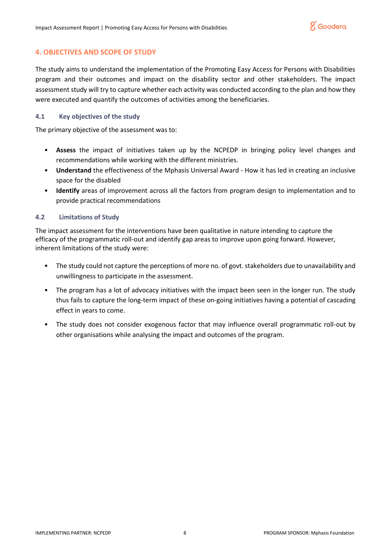# <span id="page-7-0"></span>**4. OBJECTIVES AND SCOPE OF STUDY**

The study aims to understand the implementation of the Promoting Easy Access for Persons with Disabilities program and their outcomes and impact on the disability sector and other stakeholders. The impact assessment study will try to capture whether each activity was conducted according to the plan and how they were executed and quantify the outcomes of activities among the beneficiaries.

## **4.1 Key objectives of the study**

The primary objective of the assessment was to:

- **Assess** the impact of initiatives taken up by the NCPEDP in bringing policy level changes and recommendations while working with the different ministries.
- **Understand** the effectiveness of the Mphasis Universal Award How it has led in creating an inclusive space for the disabled
- **Identify** areas of improvement across all the factors from program design to implementation and to provide practical recommendations

## **4.2 Limitations of Study**

The impact assessment for the interventions have been qualitative in nature intending to capture the efficacy of the programmatic roll-out and identify gap areas to improve upon going forward. However, inherent limitations of the study were:

- The study could not capture the perceptions of more no. of govt. stakeholders due to unavailability and unwillingness to participate in the assessment.
- The program has a lot of advocacy initiatives with the impact been seen in the longer run. The study thus fails to capture the long-term impact of these on-going initiatives having a potential of cascading effect in years to come.
- The study does not consider exogenous factor that may influence overall programmatic roll-out by other organisations while analysing the impact and outcomes of the program.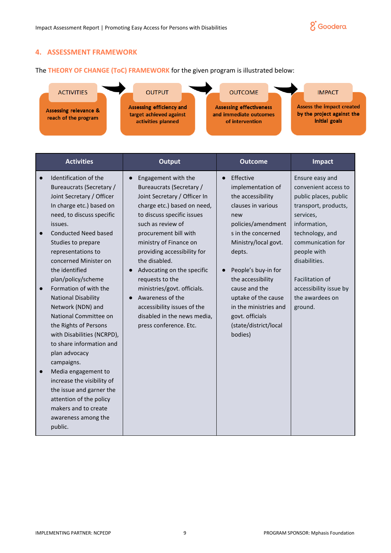

## <span id="page-8-0"></span>**4. ASSESSMENT FRAMEWORK**

The **THEORY OF CHANGE (ToC) FRAMEWORK** for the given program is illustrated below:



| <b>Activities</b>                                                                                                                                                                                                                                                                                                                                                                                                                                                                                                                                                                                                                                                                                        | <b>Output</b>                                                                                                                                                                                                                                                                                                                                                                                                                                                    | <b>Outcome</b>                                                                                                                                                                                                                                                                                                                     | <b>Impact</b>                                                                                                                                                                                                                                                            |
|----------------------------------------------------------------------------------------------------------------------------------------------------------------------------------------------------------------------------------------------------------------------------------------------------------------------------------------------------------------------------------------------------------------------------------------------------------------------------------------------------------------------------------------------------------------------------------------------------------------------------------------------------------------------------------------------------------|------------------------------------------------------------------------------------------------------------------------------------------------------------------------------------------------------------------------------------------------------------------------------------------------------------------------------------------------------------------------------------------------------------------------------------------------------------------|------------------------------------------------------------------------------------------------------------------------------------------------------------------------------------------------------------------------------------------------------------------------------------------------------------------------------------|--------------------------------------------------------------------------------------------------------------------------------------------------------------------------------------------------------------------------------------------------------------------------|
| Identification of the<br>Bureaucrats (Secretary /<br>Joint Secretary / Officer<br>In charge etc.) based on<br>need, to discuss specific<br>issues.<br><b>Conducted Need based</b><br>Studies to prepare<br>representations to<br>concerned Minister on<br>the identified<br>plan/policy/scheme<br>Formation of with the<br>$\bullet$<br><b>National Disability</b><br>Network (NDN) and<br>National Committee on<br>the Rights of Persons<br>with Disabilities (NCRPD),<br>to share information and<br>plan advocacy<br>campaigns.<br>Media engagement to<br>increase the visibility of<br>the issue and garner the<br>attention of the policy<br>makers and to create<br>awareness among the<br>public. | Engagement with the<br>Bureaucrats (Secretary /<br>Joint Secretary / Officer In<br>charge etc.) based on need,<br>to discuss specific issues<br>such as review of<br>procurement bill with<br>ministry of Finance on<br>providing accessibility for<br>the disabled.<br>Advocating on the specific<br>requests to the<br>ministries/govt. officials.<br>Awareness of the<br>accessibility issues of the<br>disabled in the news media,<br>press conference. Etc. | Effective<br>implementation of<br>the accessibility<br>clauses in various<br>new<br>policies/amendment<br>s in the concerned<br>Ministry/local govt.<br>depts.<br>People's buy-in for<br>the accessibility<br>cause and the<br>uptake of the cause<br>in the ministries and<br>govt. officials<br>(state/district/local<br>bodies) | Ensure easy and<br>convenient access to<br>public places, public<br>transport, products,<br>services,<br>information,<br>technology, and<br>communication for<br>people with<br>disabilities.<br>Facilitation of<br>accessibility issue by<br>the awardees on<br>ground. |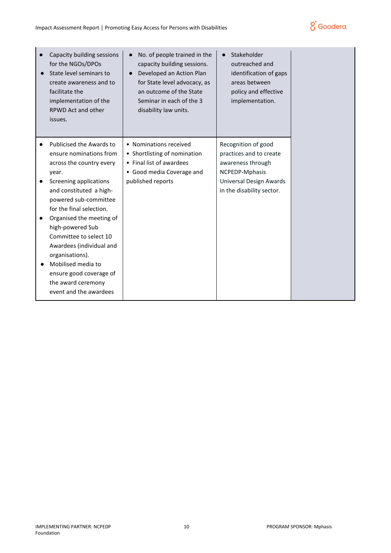

| Capacity building sessions<br>for the NGOs/DPOs<br>State level seminars to<br>create awareness and to<br>facilitate the<br>implementation of the<br>RPWD Act and other<br>issues.                                                                                                                                                                                                                                            | No. of people trained in the<br>capacity building sessions.<br>Developed an Action Plan<br>for State level advocacy, as<br>an outcome of the State<br>Seminar in each of the 3<br>disability law units. | Stakeholder<br>$\bullet$<br>outreached and<br>identification of gaps<br>areas between<br>policy and effective<br>implementation.              |
|------------------------------------------------------------------------------------------------------------------------------------------------------------------------------------------------------------------------------------------------------------------------------------------------------------------------------------------------------------------------------------------------------------------------------|---------------------------------------------------------------------------------------------------------------------------------------------------------------------------------------------------------|-----------------------------------------------------------------------------------------------------------------------------------------------|
| Publicised the Awards to<br>ensure nominations from<br>across the country every<br>year.<br>Screening applications<br>and constituted a high-<br>powered sub-committee<br>for the final selection.<br>Organised the meeting of<br>high-powered Sub<br>Committee to select 10<br>Awardees (individual and<br>organisations).<br>Mobilised media to<br>ensure good coverage of<br>the award ceremony<br>event and the awardees | • Nominations received<br>• Shortlisting of nomination<br>• Final list of awardees<br>• Good media Coverage and<br>published reports                                                                    | Recognition of good<br>practices and to create<br>awareness through<br>NCPEDP-Mphasis<br>Universal Design Awards<br>in the disability sector. |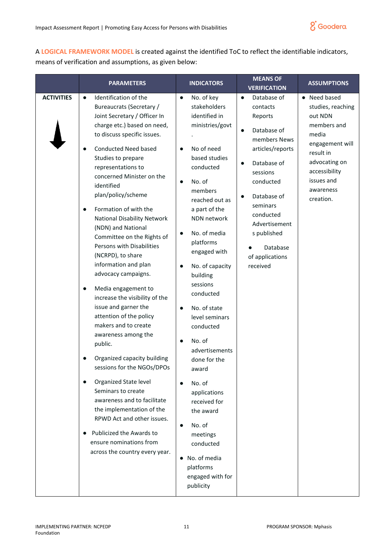

A **LOGICAL FRAMEWORK MODEL** is created against the identified ToC to reflect the identifiable indicators, means of verification and assumptions, as given below:

|                   | <b>PARAMETERS</b>                                                                                                                                                                                                                                                                                                                                                                                                                                                                                                                                                                                                                                                                                                                                                                                                                                                                                                                                                                                                                              | <b>INDICATORS</b>                                                                                                                                                                                                                                                                                                                                                                                                                                                                                                                                                                         | <b>MEANS OF</b><br><b>VERIFICATION</b>                                                                                                                                                                                                                                     | <b>ASSUMPTIONS</b>                                                                                                                                                             |
|-------------------|------------------------------------------------------------------------------------------------------------------------------------------------------------------------------------------------------------------------------------------------------------------------------------------------------------------------------------------------------------------------------------------------------------------------------------------------------------------------------------------------------------------------------------------------------------------------------------------------------------------------------------------------------------------------------------------------------------------------------------------------------------------------------------------------------------------------------------------------------------------------------------------------------------------------------------------------------------------------------------------------------------------------------------------------|-------------------------------------------------------------------------------------------------------------------------------------------------------------------------------------------------------------------------------------------------------------------------------------------------------------------------------------------------------------------------------------------------------------------------------------------------------------------------------------------------------------------------------------------------------------------------------------------|----------------------------------------------------------------------------------------------------------------------------------------------------------------------------------------------------------------------------------------------------------------------------|--------------------------------------------------------------------------------------------------------------------------------------------------------------------------------|
| <b>ACTIVITIES</b> | Identification of the<br>$\bullet$<br>Bureaucrats (Secretary /<br>Joint Secretary / Officer In<br>charge etc.) based on need,<br>to discuss specific issues.<br><b>Conducted Need based</b><br>$\bullet$<br>Studies to prepare<br>representations to<br>concerned Minister on the<br>identified<br>plan/policy/scheme<br>Formation of with the<br>$\bullet$<br>National Disability Network<br>(NDN) and National<br>Committee on the Rights of<br>Persons with Disabilities<br>(NCRPD), to share<br>information and plan<br>advocacy campaigns.<br>Media engagement to<br>$\bullet$<br>increase the visibility of the<br>issue and garner the<br>attention of the policy<br>makers and to create<br>awareness among the<br>public.<br>Organized capacity building<br>sessions for the NGOs/DPOs<br>Organized State level<br>$\bullet$<br>Seminars to create<br>awareness and to facilitate<br>the implementation of the<br>RPWD Act and other issues.<br>Publicized the Awards to<br>ensure nominations from<br>across the country every year. | No. of key<br>stakeholders<br>identified in<br>ministries/govt<br>No of need<br>based studies<br>conducted<br>No. of<br>members<br>reached out as<br>a part of the<br>NDN network<br>No. of media<br>platforms<br>engaged with<br>No. of capacity<br>building<br>sessions<br>conducted<br>No. of state<br>$\bullet$<br>level seminars<br>conducted<br>No. of<br>advertisements<br>done for the<br>award<br>No. of<br>applications<br>received for<br>the award<br>No. of<br>$\bullet$<br>meetings<br>conducted<br>No. of media<br>$\bullet$<br>platforms<br>engaged with for<br>publicity | Database of<br>contacts<br>Reports<br>Database of<br>$\bullet$<br>members News<br>articles/reports<br>Database of<br>$\bullet$<br>sessions<br>conducted<br>Database of<br>seminars<br>conducted<br>Advertisement<br>s published<br>Database<br>of applications<br>received | • Need based<br>studies, reaching<br>out NDN<br>members and<br>media<br>engagement will<br>result in<br>advocating on<br>accessibility<br>issues and<br>awareness<br>creation. |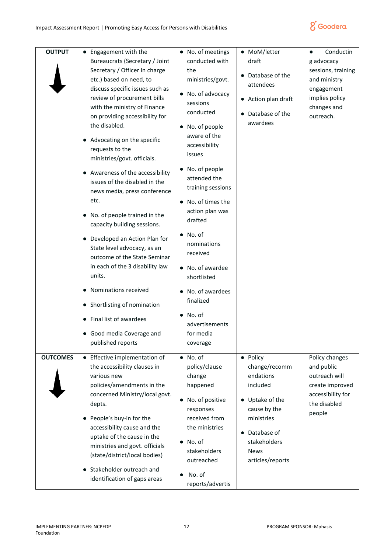

| <b>OUTPUT</b>   | • Engagement with the<br>Bureaucrats (Secretary / Joint<br>Secretary / Officer In charge<br>etc.) based on need, to<br>discuss specific issues such as<br>review of procurement bills<br>with the ministry of Finance<br>on providing accessibility for<br>the disabled.<br>• Advocating on the specific<br>requests to the<br>ministries/govt. officials.<br>• Awareness of the accessibility<br>issues of the disabled in the<br>news media, press conference<br>etc.<br>• No. of people trained in the<br>capacity building sessions.<br>• Developed an Action Plan for<br>State level advocacy, as an<br>outcome of the State Seminar<br>in each of the 3 disability law<br>units.<br>• Nominations received<br>• Shortlisting of nomination<br>• Final list of awardees<br>• Good media Coverage and<br>published reports | • No. of meetings<br>conducted with<br>the<br>ministries/govt.<br>No. of advocacy<br>sessions<br>conducted<br>No. of people<br>aware of the<br>accessibility<br>issues<br>No. of people<br>attended the<br>training sessions<br>No. of times the<br>$\bullet$<br>action plan was<br>drafted<br>No. of<br>$\bullet$<br>nominations<br>received<br>No. of awardee<br>shortlisted<br>No. of awardees<br>finalized<br>No. of<br>advertisements<br>for media<br>coverage | MoM/letter<br>draft<br>Database of the<br>attendees<br>Action plan draft<br>$\bullet$<br>Database of the<br>awardees                                                             | Conductin<br>g advocacy<br>sessions, training<br>and ministry<br>engagement<br>implies policy<br>changes and<br>outreach. |
|-----------------|--------------------------------------------------------------------------------------------------------------------------------------------------------------------------------------------------------------------------------------------------------------------------------------------------------------------------------------------------------------------------------------------------------------------------------------------------------------------------------------------------------------------------------------------------------------------------------------------------------------------------------------------------------------------------------------------------------------------------------------------------------------------------------------------------------------------------------|---------------------------------------------------------------------------------------------------------------------------------------------------------------------------------------------------------------------------------------------------------------------------------------------------------------------------------------------------------------------------------------------------------------------------------------------------------------------|----------------------------------------------------------------------------------------------------------------------------------------------------------------------------------|---------------------------------------------------------------------------------------------------------------------------|
| <b>OUTCOMES</b> | • Effective implementation of<br>the accessibility clauses in<br>various new<br>policies/amendments in the<br>concerned Ministry/local govt.<br>depts.<br>• People's buy-in for the<br>accessibility cause and the<br>uptake of the cause in the<br>ministries and govt. officials<br>(state/district/local bodies)<br>Stakeholder outreach and<br>identification of gaps areas                                                                                                                                                                                                                                                                                                                                                                                                                                                | $\bullet$ No. of<br>policy/clause<br>change<br>happened<br>No. of positive<br>$\bullet$<br>responses<br>received from<br>the ministries<br>No. of<br>$\bullet$<br>stakeholders<br>outreached<br>No. of<br>$\bullet$<br>reports/advertis                                                                                                                                                                                                                             | · Policy<br>change/recomm<br>endations<br>included<br>Uptake of the<br>$\bullet$<br>cause by the<br>ministries<br>Database of<br>stakeholders<br><b>News</b><br>articles/reports | Policy changes<br>and public<br>outreach will<br>create improved<br>accessibility for<br>the disabled<br>people           |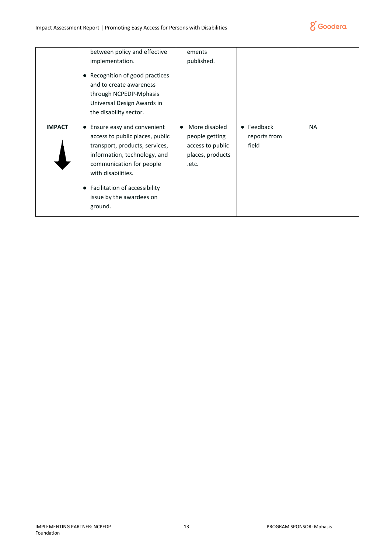

|               | between policy and effective<br>implementation.<br>• Recognition of good practices<br>and to create awareness<br>through NCPEDP-Mphasis<br>Universal Design Awards in<br>the disability sector.                                                               | ements<br>published.                                                             |                                     |    |
|---------------|---------------------------------------------------------------------------------------------------------------------------------------------------------------------------------------------------------------------------------------------------------------|----------------------------------------------------------------------------------|-------------------------------------|----|
| <b>IMPACT</b> | • Ensure easy and convenient<br>access to public places, public<br>transport, products, services,<br>information, technology, and<br>communication for people<br>with disabilities.<br>• Facilitation of accessibility<br>issue by the awardees on<br>ground. | More disabled<br>people getting<br>access to public<br>places, products<br>.etc. | • Feedback<br>reports from<br>field | ΝA |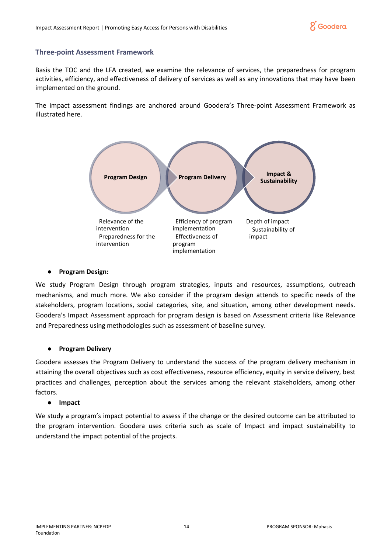

## **Three-point Assessment Framework**

Basis the TOC and the LFA created, we examine the relevance of services, the preparedness for program activities, efficiency, and effectiveness of delivery of services as well as any innovations that may have been implemented on the ground.

The impact assessment findings are anchored around Goodera's Three-point Assessment Framework as illustrated here.



#### ● **Program Design:**

We study Program Design through program strategies, inputs and resources, assumptions, outreach mechanisms, and much more. We also consider if the program design attends to specific needs of the stakeholders, program locations, social categories, site, and situation, among other development needs. Goodera's Impact Assessment approach for program design is based on Assessment criteria like Relevance and Preparedness using methodologies such as assessment of baseline survey.

## ● **Program Delivery**

Goodera assesses the Program Delivery to understand the success of the program delivery mechanism in attaining the overall objectives such as cost effectiveness, resource efficiency, equity in service delivery, best practices and challenges, perception about the services among the relevant stakeholders, among other factors.

#### ● **Impact**

We study a program's impact potential to assess if the change or the desired outcome can be attributed to the program intervention. Goodera uses criteria such as scale of Impact and impact sustainability to understand the impact potential of the projects.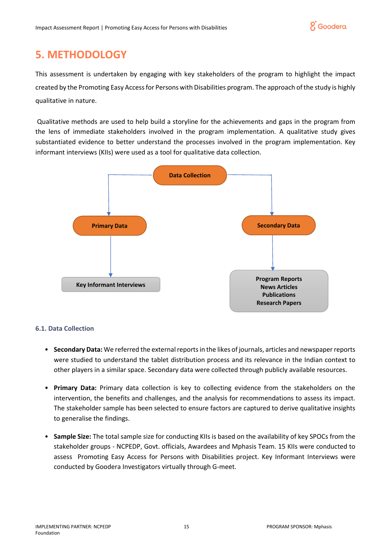

# <span id="page-14-0"></span>**5. METHODOLOGY**

This assessment is undertaken by engaging with key stakeholders of the program to highlight the impact created by the Promoting Easy Access for Persons with Disabilities program. The approach of the study is highly qualitative in nature.

Qualitative methods are used to help build a storyline for the achievements and gaps in the program from the lens of immediate stakeholders involved in the program implementation. A qualitative study gives substantiated evidence to better understand the processes involved in the program implementation. Key informant interviews (KIIs) were used as a tool for qualitative data collection.



# **6.1. Data Collection**

- **Secondary Data:** We referred the external reports in the likes of journals, articles and newspaper reports were studied to understand the tablet distribution process and its relevance in the Indian context to other players in a similar space. Secondary data were collected through publicly available resources.
- **Primary Data:** Primary data collection is key to collecting evidence from the stakeholders on the intervention, the benefits and challenges, and the analysis for recommendations to assess its impact. The stakeholder sample has been selected to ensure factors are captured to derive qualitative insights to generalise the findings.
- **Sample Size:** The total sample size for conducting KIIs is based on the availability of key SPOCs from the stakeholder groups - NCPEDP, Govt. officials, Awardees and Mphasis Team. 15 KIIs were conducted to assess Promoting Easy Access for Persons with Disabilities project. Key Informant Interviews were conducted by Goodera Investigators virtually through G-meet.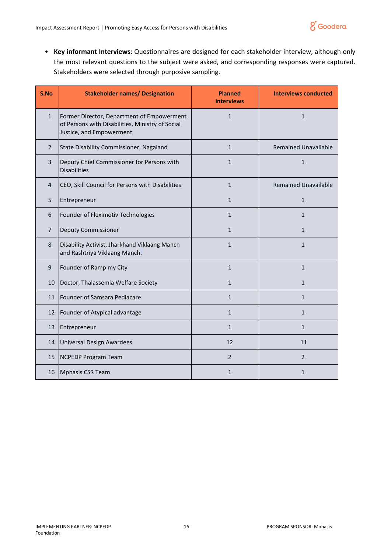

• **Key informant Interviews**: Questionnaires are designed for each stakeholder interview, although only the most relevant questions to the subject were asked, and corresponding responses were captured. Stakeholders were selected through purposive sampling.

| S.No           | <b>Stakeholder names/ Designation</b>                                                                                      | <b>Planned</b><br><b>interviews</b> | <b>Interviews conducted</b> |
|----------------|----------------------------------------------------------------------------------------------------------------------------|-------------------------------------|-----------------------------|
| $\mathbf{1}$   | Former Director, Department of Empowerment<br>of Persons with Disabilities, Ministry of Social<br>Justice, and Empowerment | $\mathbf{1}$                        | $\mathbf{1}$                |
| $\overline{2}$ | State Disability Commissioner, Nagaland                                                                                    | $\mathbf{1}$                        | <b>Remained Unavailable</b> |
| 3              | Deputy Chief Commissioner for Persons with<br><b>Disabilities</b>                                                          | $\mathbf{1}$                        | $\mathbf{1}$                |
| $\overline{4}$ | CEO, Skill Council for Persons with Disabilities                                                                           | $\mathbf{1}$                        | <b>Remained Unavailable</b> |
| 5              | Entrepreneur                                                                                                               | $\mathbf{1}$                        | $\mathbf{1}$                |
| 6              | Founder of Fleximotiv Technologies                                                                                         | $\mathbf{1}$                        | $\mathbf{1}$                |
| $\overline{7}$ | <b>Deputy Commissioner</b>                                                                                                 | $\mathbf{1}$                        | $\mathbf{1}$                |
| 8              | Disability Activist, Jharkhand Viklaang Manch<br>and Rashtriya Viklaang Manch.                                             | $\mathbf{1}$                        | $\mathbf{1}$                |
| 9              | Founder of Ramp my City                                                                                                    | $\mathbf{1}$                        | $\mathbf{1}$                |
| 10             | Doctor, Thalassemia Welfare Society                                                                                        | $\mathbf{1}$                        | $\mathbf{1}$                |
| 11             | Founder of Samsara Pediacare                                                                                               | $\mathbf{1}$                        | $\mathbf{1}$                |
| 12             | Founder of Atypical advantage                                                                                              | $\mathbf{1}$                        | $\mathbf{1}$                |
| 13             | Entrepreneur                                                                                                               | $\mathbf{1}$                        | $\mathbf{1}$                |
| 14             | <b>Universal Design Awardees</b>                                                                                           | 12                                  | 11                          |
| 15             | NCPEDP Program Team                                                                                                        | $\overline{2}$                      | $\overline{2}$              |
| 16             | Mphasis CSR Team                                                                                                           | $\mathbf{1}$                        | 1                           |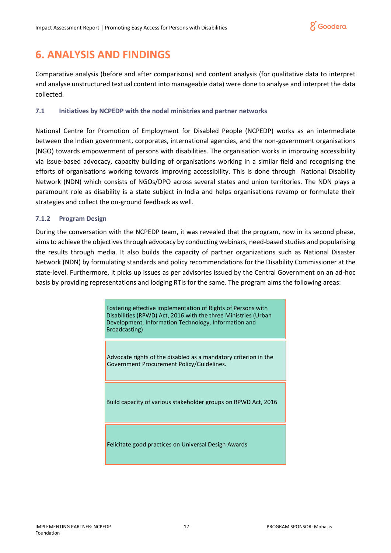

# <span id="page-16-0"></span>**6. ANALYSIS AND FINDINGS**

Comparative analysis (before and after comparisons) and content analysis (for qualitative data to interpret and analyse unstructured textual content into manageable data) were done to analyse and interpret the data collected.

## **7.1 Initiatives by NCPEDP with the nodal ministries and partner networks**

National Centre for Promotion of Employment for Disabled People (NCPEDP) works as an intermediate between the Indian government, corporates, international agencies, and the non-government organisations (NGO) towards empowerment of persons with disabilities. The organisation works in improving accessibility via issue-based advocacy, capacity building of organisations working in a similar field and recognising the efforts of organisations working towards improving accessibility. This is done through National Disability Network (NDN) which consists of NGOs/DPO across several states and union territories. The NDN plays a paramount role as disability is a state subject in India and helps organisations revamp or formulate their strategies and collect the on-ground feedback as well.

## **7.1.2 Program Design**

During the conversation with the NCPEDP team, it was revealed that the program, now in its second phase, aims to achieve the objectives through advocacy by conducting webinars, need-based studies and popularising the results through media. It also builds the capacity of partner organizations such as National Disaster Network (NDN) by formulating standards and policy recommendations for the Disability Commissioner at the state-level. Furthermore, it picks up issues as per advisories issued by the Central Government on an ad-hoc basis by providing representations and lodging RTIs for the same. The program aims the following areas:

> Fostering effective implementation of Rights of Persons with Disabilities (RPWD) Act, 2016 with the three Ministries (Urban Development, Information Technology, Information and Broadcasting)

Advocate rights of the disabled as a mandatory criterion in the Government Procurement Policy/Guidelines.

Build capacity of various stakeholder groups on RPWD Act, 2016

Felicitate good practices on Universal Design Awards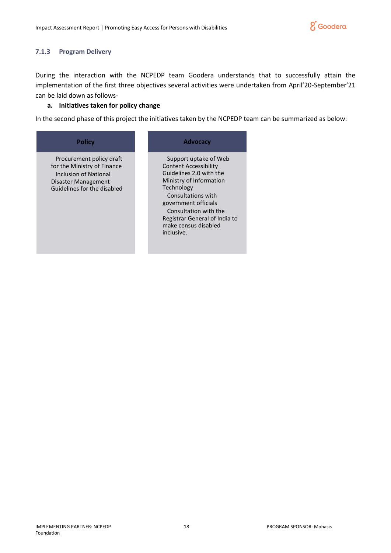

#### **7.1.3 Program Delivery**

During the interaction with the NCPEDP team Goodera understands that to successfully attain the implementation of the first three objectives several activities were undertaken from April'20-September'21 can be laid down as follows-

## **a. Initiatives taken for policy change**

In the second phase of this project the initiatives taken by the NCPEDP team can be summarized as below:

#### **Policy**

Procurement policy draft for the Ministry of Finance Inclusion of National Disaster Management Guidelines for the disabled

## **Advocacy**

Support uptake of Web Content Accessibility Guidelines 2.0 with the Ministry of Information Technology Consultations with government officials Consultation with the Registrar General of India to make census disabled inclusive.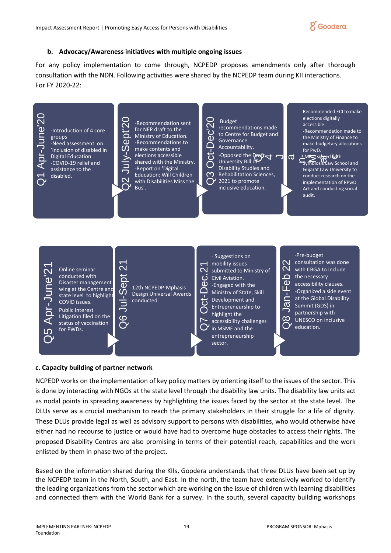

#### **b. Advocacy/Awareness initiatives with multiple ongoing issues**

For any policy implementation to come through, NCPEDP proposes amendments only after thorough consultation with the NDN. Following activities were shared by the NCPEDP team during KII interactions. For FY 2020-22:



#### **c. Capacity building of partner network**

NCPEDP works on the implementation of key policy matters by orienting itself to the issues of the sector. This is done by interacting with NGOs at the state level through the disability law units. The disability law units act as nodal points in spreading awareness by highlighting the issues faced by the sector at the state level. The DLUs serve as a crucial mechanism to reach the primary stakeholders in their struggle for a life of dignity. These DLUs provide legal as well as advisory support to persons with disabilities, who would otherwise have either had no recourse to justice or would have had to overcome huge obstacles to access their rights. The proposed Disability Centres are also promising in terms of their potential reach, capabilities and the work enlisted by them in phase two of the project.

Based on the information shared during the KIIs, Goodera understands that three DLUs have been set up by the NCPEDP team in the North, South, and East. In the north, the team have extensively worked to identify the leading organizations from the sector which are working on the issue of children with learning disabilities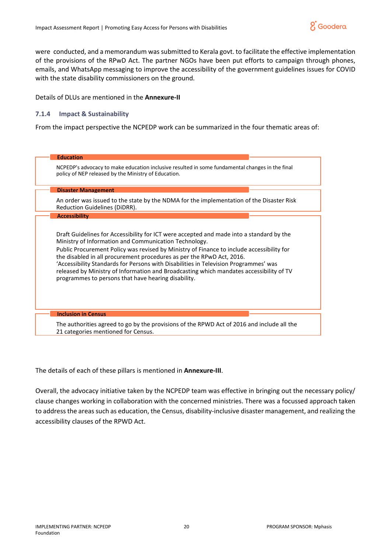

were conducted, and a memorandum was submitted to Kerala govt. to facilitate the effective implementation of the provisions of the RPwD Act. The partner NGOs have been put efforts to campaign through phones, emails, and WhatsApp messaging to improve the accessibility of the government guidelines issues for COVID with the state disability commissioners on the ground.

Details of DLUs are mentioned in the **Annexure-II**

## **7.1.4 Impact & Sustainability**

From the impact perspective the NCPEDP work can be summarized in the four thematic areas of:

| <b>Education</b>                                                                                                                                                                                                                                                                                                                                                                                                                                                                                                                                                  |
|-------------------------------------------------------------------------------------------------------------------------------------------------------------------------------------------------------------------------------------------------------------------------------------------------------------------------------------------------------------------------------------------------------------------------------------------------------------------------------------------------------------------------------------------------------------------|
| NCPEDP's advocacy to make education inclusive resulted in some fundamental changes in the final<br>policy of NEP released by the Ministry of Education.                                                                                                                                                                                                                                                                                                                                                                                                           |
| <b>Disaster Management</b>                                                                                                                                                                                                                                                                                                                                                                                                                                                                                                                                        |
| An order was issued to the state by the NDMA for the implementation of the Disaster Risk<br>Reduction Guidelines (DiDRR).                                                                                                                                                                                                                                                                                                                                                                                                                                         |
| <b>Accessibility</b>                                                                                                                                                                                                                                                                                                                                                                                                                                                                                                                                              |
| Draft Guidelines for Accessibility for ICT were accepted and made into a standard by the<br>Ministry of Information and Communication Technology.<br>Public Procurement Policy was revised by Ministry of Finance to include accessibility for<br>the disabled in all procurement procedures as per the RPwD Act, 2016.<br>'Accessibility Standards for Persons with Disabilities in Television Programmes' was<br>released by Ministry of Information and Broadcasting which mandates accessibility of TV<br>programmes to persons that have hearing disability. |
| <b>Inclusion in Census</b>                                                                                                                                                                                                                                                                                                                                                                                                                                                                                                                                        |
| The authorities agreed to go by the provisions of the RPWD Act of 2016 and include all the<br>21 categories mentioned for Census.                                                                                                                                                                                                                                                                                                                                                                                                                                 |

The details of each of these pillars is mentioned in **Annexure-III**.

Overall, the advocacy initiative taken by the NCPEDP team was effective in bringing out the necessary policy/ clause changes working in collaboration with the concerned ministries. There was a focussed approach taken to address the areas such as education, the Census, disability-inclusive disaster management, and realizing the accessibility clauses of the RPWD Act.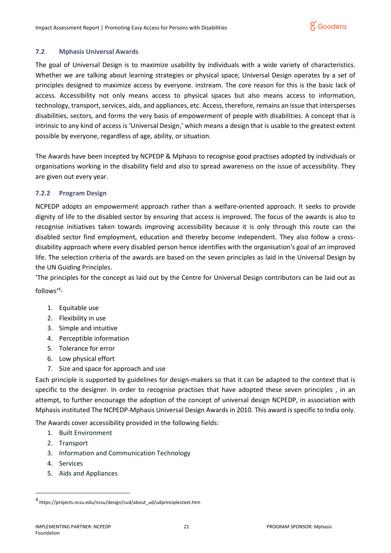## **7.2 Mphasis Universal Awards**

The goal of Universal Design is to maximize usability by individuals with a wide variety of characteristics. Whether we are talking about learning strategies or physical space, Universal Design operates by a set of principles designed to maximize access by everyone. instream. The core reason for this is the basic lack of access. Accessibility not only means access to physical spaces but also means access to information, technology, transport, services, aids, and appliances, etc. Access, therefore, remains an issue that intersperses disabilities, sectors, and forms the very basis of empowerment of people with disabilities. A concept that is intrinsic to any kind of access is 'Universal Design,' which means a design that is usable to the greatest extent possible by everyone, regardless of age, ability, or situation.

The Awards have been incepted by NCPEDP & Mphasis to recognise good practises adopted by individuals or organisations working in the disability field and also to spread awareness on the issue of accessibility. They are given out every year.

## **7.2.2 Program Design**

NCPEDP adopts an empowerment approach rather than a welfare-oriented approach. It seeks to provide dignity of life to the disabled sector by ensuring that access is improved. The focus of the awards is also to recognise initiatives taken towards improving accessibility because it is only through this route can the disabled sector find employment, education and thereby become independent. They also follow a crossdisability approach where every disabled person hence identifies with the organisation's goal of an improved life. The selection criteria of the awards are based on the seven principles as laid in the Universal Design by the UN Guiding Principles.

'The principles for the concept as laid out by the Centre for Universal Design contributors can be laid out as follows'<sup>4</sup> -

- 1. Equitable use
- 2. Flexibility in use
- 3. Simple and [intuitive](https://en.wikipedia.org/wiki/Intuition_(knowledge))
- 4. Perceptible information
- 5. Tolerance for error
- 6. Low physical effort
- 7. Size and space for approach and use

Each principle is supported by guidelines for design-makers so that it can be adapted to the context that is specific to the designer. In order to recognise practises that have adopted these seven principles , in an attempt, to further encourage the adoption of the concept of universal design NCPEDP, in association with Mphasis instituted The NCPEDP-Mphasis Universal Design Awards in 2010. This award is specific to India only.

The Awards cover accessibility provided in the following fields:

- 1. Built Environment
- 2. Transport
- 3. Information and Communication Technology
- 4. Services
- 5. Aids and Appliances

<sup>4</sup> https://projects.ncsu.edu/ncsu/design/cud/about\_ud/udprinciplestext.htm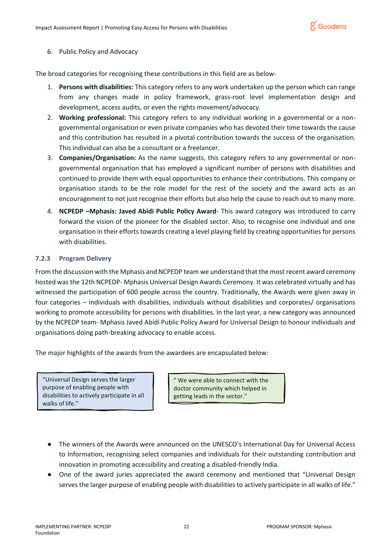

## 6. Public Policy and Advocacy

The broad categories for recognising these contributions in this field are as below-

- 1. **Persons with disabilities:** This category refers to any work undertaken up the person which can range from any changes made in policy framework, grass-root level implementation design and development, access audits, or even the rights movement/advocacy.
- 2. **Working professional:** This category refers to any individual working in a governmental or a nongovernmental organisation or even private companies who has devoted their time towards the cause and this contribution has resulted in a pivotal contribution towards the success of the organisation. This individual can also be a consultant or a freelancer.
- 3. **Companies/Organisation:** As the name suggests, this category refers to any governmental or nongovernmental organisation that has employed a significant number of persons with disabilities and continued to provide them with equal opportunities to enhance their contributions. This company or organisation stands to be the role model for the rest of the society and the award acts as an encouragement to not just recognise their efforts but also help the cause to reach out to many more.
- 4. **NCPEDP –Mphasis: Javed Abidi Public Policy Award** This award category was introduced to carry forward the vision of the pioneer for the disabled sector. Also, to recognise one individual and one organisation in their efforts towards creating a level playing field by creating opportunities for persons with disabilities.

# **7.2.3 Program Delivery**

From the discussion with the Mphasis and NCPEDP team we understand that the most recent award ceremony hosted was the 12th NCPEDP- Mphasis Universal Design Awards Ceremony. It was celebrated virtually and has witnessed the participation of 600 people across the country. Traditionally, the Awards were given away in four categories – individuals with disabilities, individuals without disabilities and corporates/ organisations working to promote accessibility for persons with disabilities. In the last year, a new category was announced by the NCPEDP team- Mphasis Javed Abidi Public Policy Award for Universal Design to honour individuals and organisations doing path-breaking advocacy to enable access.

The major highlights of the awards from the awardees are encapsulated below:

"Universal Design serves the larger purpose of enabling people with disabilities to actively participate in all walks of life."

" We were able to connect with the doctor community which helped in getting leads in the sector."

- The winners of the Awards were announced on the UNESCO's International Day for Universal Access to Information, recognising select companies and individuals for their outstanding contribution and innovation in promoting accessibility and creating a disabled-friendly India.
- One of the award juries appreciated the award ceremony and mentioned that "Universal Design serves the larger purpose of enabling people with disabilities to actively participate in all walks of life."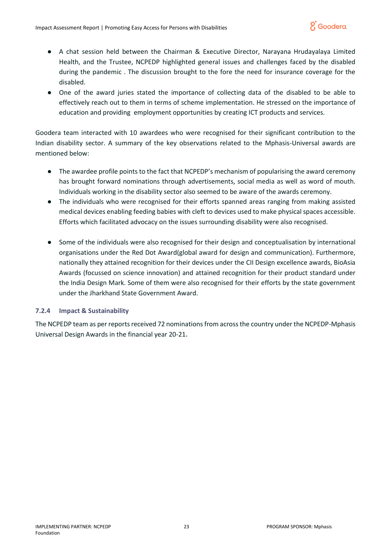

- A chat session held between the Chairman & Executive Director, Narayana Hrudayalaya Limited Health, and the Trustee, NCPEDP highlighted general issues and challenges faced by the disabled during the pandemic . The discussion brought to the fore the need for insurance coverage for the disabled.
- One of the award juries stated the importance of collecting data of the disabled to be able to effectively reach out to them in terms of scheme implementation. He stressed on the importance of education and providing employment opportunities by creating ICT products and services.

Goodera team interacted with 10 awardees who were recognised for their significant contribution to the Indian disability sector. A summary of the key observations related to the Mphasis-Universal awards are mentioned below:

- The awardee profile points to the fact that NCPEDP's mechanism of popularising the award ceremony has brought forward nominations through advertisements, social media as well as word of mouth. Individuals working in the disability sector also seemed to be aware of the awards ceremony.
- The individuals who were recognised for their efforts spanned areas ranging from making assisted medical devices enabling feeding babies with cleft to devices used to make physical spaces accessible. Efforts which facilitated advocacy on the issues surrounding disability were also recognised.
- Some of the individuals were also recognised for their design and conceptualisation by international organisations under the Red Dot Award(global award for design and communication). Furthermore, nationally they attained recognition for their devices under the CII Design excellence awards, BioAsia Awards (focussed on science innovation) and attained recognition for their product standard under the India Design Mark. Some of them were also recognised for their efforts by the state government under the Jharkhand State Government Award.

## **7.2.4 Impact & Sustainability**

The NCPEDP team as per reports received 72 nominations from across the country under the NCPEDP-Mphasis Universal Design Awards in the financial year 20-21**.**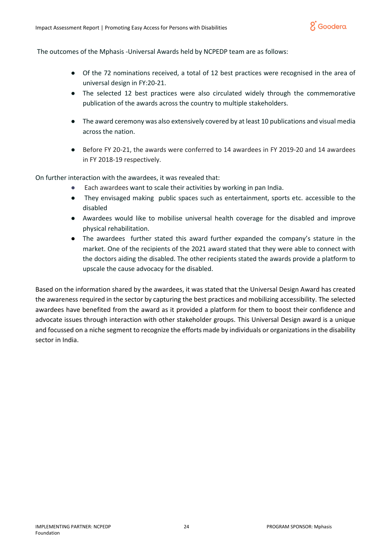

The outcomes of the Mphasis -Universal Awards held by NCPEDP team are as follows:

- Of the 72 nominations received, a total of 12 best practices were recognised in the area of universal design in FY:20-21.
- The selected 12 best practices were also circulated widely through the commemorative publication of the awards across the country to multiple stakeholders.
- The award ceremony was also extensively covered by at least 10 publications and visual media across the nation.
- Before FY 20-21, the awards were conferred to 14 awardees in FY 2019-20 and 14 awardees in FY 2018-19 respectively.

On further interaction with the awardees, it was revealed that:

- Each awardees want to scale their activities by working in pan India.
- They envisaged making public spaces such as entertainment, sports etc. accessible to the disabled
- Awardees would like to mobilise universal health coverage for the disabled and improve physical rehabilitation.
- The awardees further stated this award further expanded the company's stature in the market. One of the recipients of the 2021 award stated that they were able to connect with the doctors aiding the disabled. The other recipients stated the awards provide a platform to upscale the cause advocacy for the disabled.

Based on the information shared by the awardees, it was stated that the Universal Design Award has created the awareness required in the sector by capturing the best practices and mobilizing accessibility. The selected awardees have benefited from the award as it provided a platform for them to boost their confidence and advocate issues through interaction with other stakeholder groups. This Universal Design award is a unique and focussed on a niche segment to recognize the efforts made by individuals or organizations in the disability sector in India.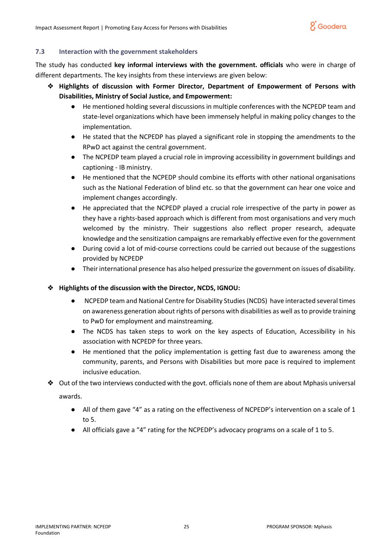

## **7.3 Interaction with the government stakeholders**

The study has conducted **key informal interviews with the government. officials** who were in charge of different departments. The key insights from these interviews are given below:

- ❖ **Highlights of discussion with Former Director, Department of Empowerment of Persons with Disabilities, Ministry of Social Justice, and Empowerment:** 
	- He mentioned holding several discussions in multiple conferences with the NCPEDP team and state-level organizations which have been immensely helpful in making policy changes to the implementation.
	- He stated that the NCPEDP has played a significant role in stopping the amendments to the RPwD act against the central government.
	- The NCPEDP team played a crucial role in improving accessibility in government buildings and captioning - IB ministry.
	- He mentioned that the NCPEDP should combine its efforts with other national organisations such as the National Federation of blind etc. so that the government can hear one voice and implement changes accordingly.
	- He appreciated that the NCPEDP played a crucial role irrespective of the party in power as they have a rights-based approach which is different from most organisations and very much welcomed by the ministry. Their suggestions also reflect proper research, adequate knowledge and the sensitization campaigns are remarkably effective even for the government
	- During covid a lot of mid-course corrections could be carried out because of the suggestions provided by NCPEDP
	- Their international presence has also helped pressurize the government on issues of disability.

# ❖ **Highlights of the discussion with the Director, NCDS, IGNOU:**

- NCPEDP team and National Centre for Disability Studies (NCDS) have interacted several times on awareness generation about rights of persons with disabilities as well as to provide training to PwD for employment and mainstreaming.
- The NCDS has taken steps to work on the key aspects of Education, Accessibility in his association with NCPEDP for three years.
- He mentioned that the policy implementation is getting fast due to awareness among the community, parents, and Persons with Disabilities but more pace is required to implement inclusive education.
- ❖ Out of the two interviews conducted with the govt. officials none of them are about Mphasis universal awards.
	- All of them gave "4" as a rating on the effectiveness of NCPEDP's intervention on a scale of 1 to 5.
	- All officials gave a "4" rating for the NCPEDP's advocacy programs on a scale of 1 to 5.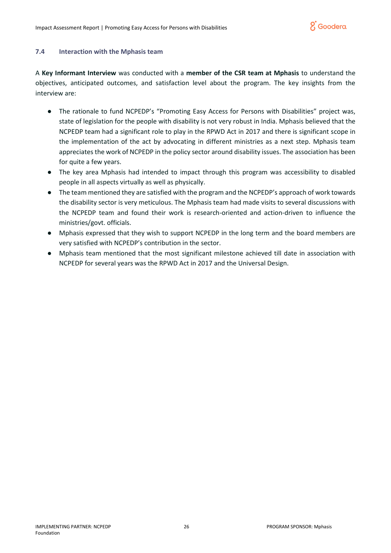

#### **7.4 Interaction with the Mphasis team**

A **Key Informant Interview** was conducted with a **member of the CSR team at Mphasis** to understand the objectives, anticipated outcomes, and satisfaction level about the program. The key insights from the interview are:

- The rationale to fund NCPEDP's "Promoting Easy Access for Persons with Disabilities" project was, state of legislation for the people with disability is not very robust in India. Mphasis believed that the NCPEDP team had a significant role to play in the RPWD Act in 2017 and there is significant scope in the implementation of the act by advocating in different ministries as a next step. Mphasis team appreciates the work of NCPEDP in the policy sector around disability issues. The association has been for quite a few years.
- The key area Mphasis had intended to impact through this program was accessibility to disabled people in all aspects virtually as well as physically.
- The team mentioned they are satisfied with the program and the NCPEDP's approach of work towards the disability sector is very meticulous. The Mphasis team had made visits to several discussions with the NCPEDP team and found their work is research-oriented and action-driven to influence the ministries/govt. officials.
- Mphasis expressed that they wish to support NCPEDP in the long term and the board members are very satisfied with NCPEDP's contribution in the sector.
- Mphasis team mentioned that the most significant milestone achieved till date in association with NCPEDP for several years was the RPWD Act in 2017 and the Universal Design.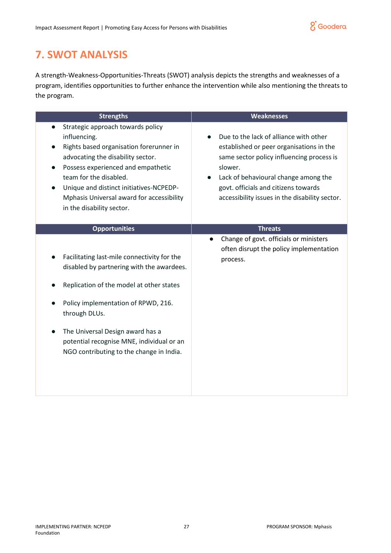

# <span id="page-26-0"></span>**7. SWOT ANALYSIS**

A strength-Weakness-Opportunities-Threats (SWOT) analysis depicts the strengths and weaknesses of a program, identifies opportunities to further enhance the intervention while also mentioning the threats to the program.

| <b>Strengths</b>                                                                                                                                                                                                                                                                                                                    | <b>Weaknesses</b>                                                                                                                                                                                                                                                            |
|-------------------------------------------------------------------------------------------------------------------------------------------------------------------------------------------------------------------------------------------------------------------------------------------------------------------------------------|------------------------------------------------------------------------------------------------------------------------------------------------------------------------------------------------------------------------------------------------------------------------------|
| Strategic approach towards policy<br>$\bullet$<br>influencing.<br>Rights based organisation forerunner in<br>advocating the disability sector.<br>Possess experienced and empathetic<br>team for the disabled.<br>Unique and distinct initiatives-NCPEDP-<br>Mphasis Universal award for accessibility<br>in the disability sector. | Due to the lack of alliance with other<br>established or peer organisations in the<br>same sector policy influencing process is<br>slower.<br>Lack of behavioural change among the<br>govt. officials and citizens towards<br>accessibility issues in the disability sector. |
| <b>Opportunities</b>                                                                                                                                                                                                                                                                                                                | <b>Threats</b>                                                                                                                                                                                                                                                               |
| Facilitating last-mile connectivity for the<br>disabled by partnering with the awardees.<br>Replication of the model at other states<br>Policy implementation of RPWD, 216.<br>through DLUs.<br>The Universal Design award has a<br>potential recognise MNE, individual or an<br>NGO contributing to the change in India.           | Change of govt. officials or ministers<br>$\bullet$<br>often disrupt the policy implementation<br>process.                                                                                                                                                                   |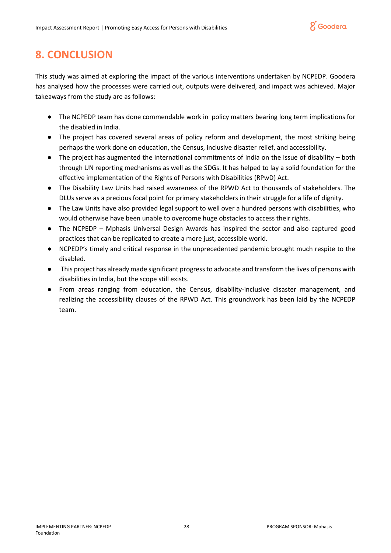

# <span id="page-27-0"></span>**8. CONCLUSION**

This study was aimed at exploring the impact of the various interventions undertaken by NCPEDP. Goodera has analysed how the processes were carried out, outputs were delivered, and impact was achieved. Major takeaways from the study are as follows:

- The NCPEDP team has done commendable work in policy matters bearing long term implications for the disabled in India.
- The project has covered several areas of policy reform and development, the most striking being perhaps the work done on education, the Census, inclusive disaster relief, and accessibility.
- The project has augmented the international commitments of India on the issue of disability both through UN reporting mechanisms as well as the SDGs. It has helped to lay a solid foundation for the effective implementation of the Rights of Persons with Disabilities (RPwD) Act.
- The Disability Law Units had raised awareness of the RPWD Act to thousands of stakeholders. The DLUs serve as a precious focal point for primary stakeholders in their struggle for a life of dignity.
- The Law Units have also provided legal support to well over a hundred persons with disabilities, who would otherwise have been unable to overcome huge obstacles to access their rights.
- The NCPEDP Mphasis Universal Design Awards has inspired the sector and also captured good practices that can be replicated to create a more just, accessible world.
- NCPEDP's timely and critical response in the unprecedented pandemic brought much respite to the disabled.
- This project has already made significant progress to advocate and transform the lives of persons with disabilities in India, but the scope still exists.
- From areas ranging from education, the Census, disability-inclusive disaster management, and realizing the accessibility clauses of the RPWD Act. This groundwork has been laid by the NCPEDP team.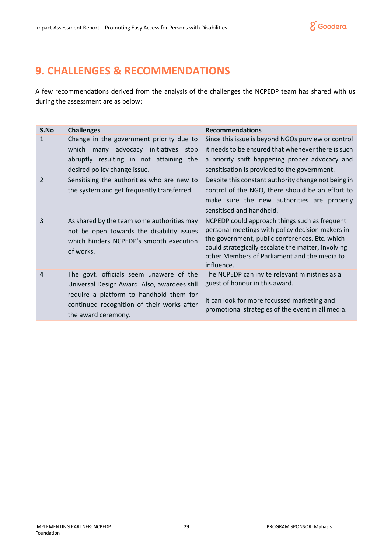

# <span id="page-28-0"></span>**9. CHALLENGES & RECOMMENDATIONS**

A few recommendations derived from the analysis of the challenges the NCPEDP team has shared with us during the assessment are as below:

| S.No           | <b>Challenges</b>                                                                                                                                                                                       | <b>Recommendations</b>                                                                                                                                                                                                                                                  |
|----------------|---------------------------------------------------------------------------------------------------------------------------------------------------------------------------------------------------------|-------------------------------------------------------------------------------------------------------------------------------------------------------------------------------------------------------------------------------------------------------------------------|
| 1              | Change in the government priority due to<br>which many advocacy initiatives<br>stop<br>abruptly resulting in not attaining the<br>desired policy change issue.                                          | Since this issue is beyond NGOs purview or control<br>it needs to be ensured that whenever there is such<br>a priority shift happening proper advocacy and<br>sensitisation is provided to the government.                                                              |
| $\overline{2}$ | Sensitising the authorities who are new to<br>the system and get frequently transferred.                                                                                                                | Despite this constant authority change not being in<br>control of the NGO, there should be an effort to<br>make sure the new authorities are properly<br>sensitised and handheld.                                                                                       |
| 3              | As shared by the team some authorities may<br>not be open towards the disability issues<br>which hinders NCPEDP's smooth execution<br>of works.                                                         | NCPEDP could approach things such as frequent<br>personal meetings with policy decision makers in<br>the government, public conferences. Etc. which<br>could strategically escalate the matter, involving<br>other Members of Parliament and the media to<br>influence. |
| 4              | The govt. officials seem unaware of the<br>Universal Design Award. Also, awardees still<br>require a platform to handhold them for<br>continued recognition of their works after<br>the award ceremony. | The NCPEDP can invite relevant ministries as a<br>guest of honour in this award.<br>It can look for more focussed marketing and<br>promotional strategies of the event in all media.                                                                                    |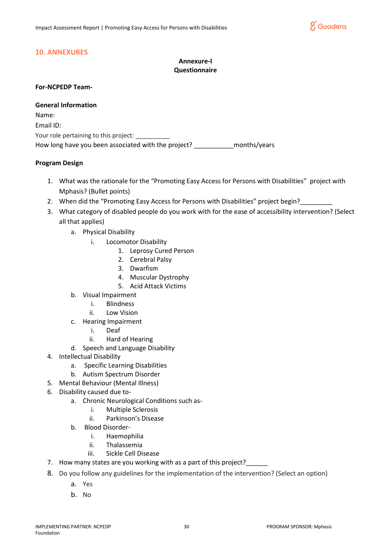

# <span id="page-29-0"></span>**10. ANNEXURES**

# **Annexure-I Questionnaire**

#### **For-NCPEDP Team-**

**General Information** Name: Email ID: Your role pertaining to this project: How long have you been associated with the project? The months/years

## **Program Design**

- 1. What was the rationale for the "Promoting Easy Access for Persons with Disabilities" project with Mphasis? (Bullet points)
- 2. When did the "Promoting Easy Access for Persons with Disabilities" project begin?
- 3. What category of disabled people do you work with for the ease of accessibility intervention? (Select all that applies)
	- a. Physical Disability
		- i. Locomotor Disability
			- 1. Leprosy Cured Person
			- 2. Cerebral Palsy
			- 3. Dwarfism
			- 4. Muscular Dystrophy
			- 5. Acid Attack Victims
	- b. Visual Impairment
		- i. Blindness
		- ii. Low Vision
	- c. Hearing Impairment
		- i. Deaf
		- ii. Hard of Hearing
	- d. Speech and Language Disability
- 4. Intellectual Disability
	- a. Specific Learning Disabilities
	- b. Autism Spectrum Disorder
- 5. Mental Behaviour (Mental Illness)
- 6. Disability caused due to
	- a. Chronic Neurological Conditions such as
		- i. Multiple Sclerosis
		- ii. Parkinson's Disease
	- b. Blood Disorder
		- i. Haemophilia
		- ii. Thalassemia
		- iii. Sickle Cell Disease
- 7. How many states are you working with as a part of this project?\_
- 8. Do you follow any guidelines for the implementation of the intervention? (Select an option)
	- a. Yes
	- b. No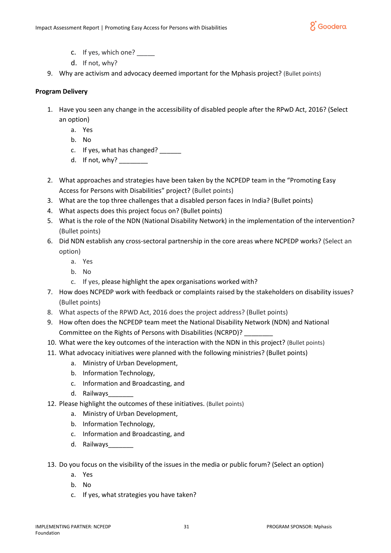

- c. If yes, which one?
- d. If not, why?
- 9. Why are activism and advocacy deemed important for the Mphasis project? (Bullet points)

## **Program Delivery**

- 1. Have you seen any change in the accessibility of disabled people after the RPwD Act, 2016? (Select an option)
	- a. Yes
	- b. No
	- c. If yes, what has changed?
	- d. If not, why?
- 2. What approaches and strategies have been taken by the NCPEDP team in the "Promoting Easy Access for Persons with Disabilities" project? (Bullet points)
- 3. What are the top three challenges that a disabled person faces in India? (Bullet points)
- 4. What aspects does this project focus on? (Bullet points)
- 5. What is the role of the NDN (National Disability Network) in the implementation of the intervention? (Bullet points)
- 6. Did NDN establish any cross-sectoral partnership in the core areas where NCPEDP works? (Select an option)
	- a. Yes
	- b. No
	- c. If yes, please highlight the apex organisations worked with?
- 7. How does NCPEDP work with feedback or complaints raised by the stakeholders on disability issues? (Bullet points)
- 8. What aspects of the RPWD Act, 2016 does the project address? (Bullet points)
- 9. How often does the NCPEDP team meet the National Disability Network (NDN) and National Committee on the Rights of Persons with Disabilities (NCRPD)? \_\_\_\_\_\_\_\_
- 10. What were the key outcomes of the interaction with the NDN in this project? (Bullet points)
- 11. What advocacy initiatives were planned with the following ministries? (Bullet points)
	- a. Ministry of Urban Development,
	- b. Information Technology,
	- c. Information and Broadcasting, and
	- d. Railways
- 12. Please highlight the outcomes of these initiatives. (Bullet points)
	- a. Ministry of Urban Development,
	- b. Information Technology,
	- c. Information and Broadcasting, and
	- d. Railways\_\_\_\_\_\_\_
- 13. Do you focus on the visibility of the issues in the media or public forum? (Select an option)
	- a. Yes
	- b. No
	- c. If yes, what strategies you have taken?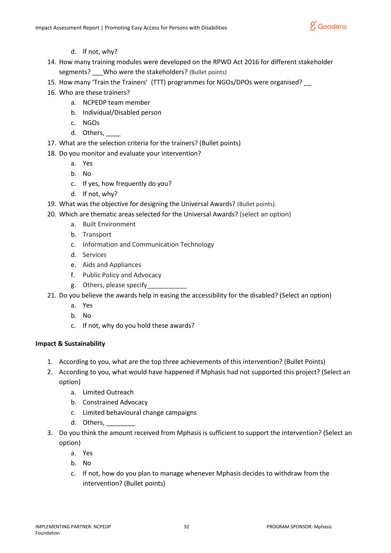

- d. If not, why?
- 14. How many training modules were developed on the RPWD Act 2016 for different stakeholder segments? Who were the stakeholders? (Bullet points)
- 15. How many 'Train the Trainers' (TTT) programmes for NGOs/DPOs were organised? \_\_
- 16. Who are these trainers?
	- a. NCPEDP team member
	- b. Individual/Disabled person
	- c. NGOs
	- d. Others,
- 17. What are the selection criteria for the trainers? (Bullet points)
- 18. Do you monitor and evaluate your intervention?
	- a. Yes
	- b. No
	- c. If yes, how frequently do you?
	- d. If not, why?
- 19. What was the objective for designing the Universal Awards? (Bullet points).
- 20. Which are thematic areas selected for the Universal Awards? (select an option)
	- a. Built Environment
	- b. Transport
	- c. Information and Communication Technology
	- d. Services
	- e. Aids and Appliances
	- f. Public Policy and Advocacy
	- g. Others, please specify\_\_\_\_\_\_\_\_\_\_\_
- 21. Do you believe the awards help in easing the accessibility for the disabled? (Select an option)
	- a. Yes
	- b. No
	- c. If not, why do you hold these awards?

# **Impact & Sustainability**

- 1. According to you, what are the top three achievements of this intervention? (Bullet Points)
- 2. According to you, what would have happened if Mphasis had not supported this project? (Select an option)
	- a. Limited Outreach
	- b. Constrained Advocacy
	- c. Limited behavioural change campaigns
	- d. Others, \_\_\_\_\_\_\_\_
- 3. Do you think the amount received from Mphasis is sufficient to support the intervention? (Select an option)
	- a. Yes
	- b. No
	- c. If not, how do you plan to manage whenever Mphasis decides to withdraw from the intervention? (Bullet points)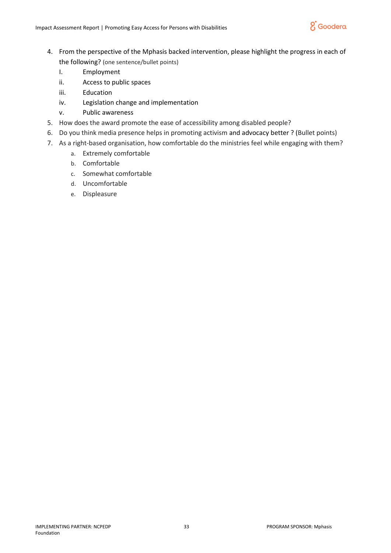

- 4. From the perspective of the Mphasis backed intervention, please highlight the progress in each of the following? (one sentence/bullet points)
	- I. Employment
	- ii. Access to public spaces
	- iii. Education
	- iv. Legislation change and implementation
	- v. Public awareness
- 5. How does the award promote the ease of accessibility among disabled people?
- 6. Do you think media presence helps in promoting activism and advocacy better ? (Bullet points)
- 7. As a right-based organisation, how comfortable do the ministries feel while engaging with them?
	- a. Extremely comfortable
	- b. Comfortable
	- c. Somewhat comfortable
	- d. Uncomfortable
	- e. Displeasure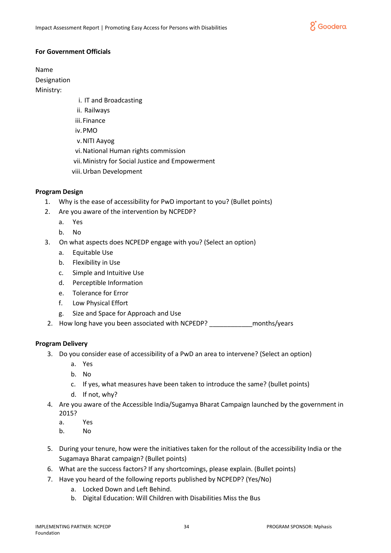

## **For Government Officials**

Name

Designation

Ministry:

- i. IT and Broadcasting
- ii. Railways
- iii. Finance
- iv.PMO
- v.NITI Aayog
- vi.National Human rights commission
- vii.Ministry for Social Justice and Empowerment
- viii.Urban Development

# **Program Design**

- 1. Why is the ease of accessibility for PwD important to you? (Bullet points)
- 2. Are you aware of the intervention by NCPEDP?
	- a. Yes
	- b. No
- 3. On what aspects does NCPEDP engage with you? (Select an option)
	- a. Equitable Use
	- b. Flexibility in Use
	- c. Simple and Intuitive Use
	- d. Perceptible Information
	- e. Tolerance for Error
	- f. Low Physical Effort
	- g. Size and Space for Approach and Use
- 2. How long have you been associated with NCPEDP? \_\_\_\_\_\_\_\_\_\_\_\_\_\_\_\_\_\_\_\_\_\_\_\_\_\_\_\_\_\_

# **Program Delivery**

- 3. Do you consider ease of accessibility of a PwD an area to intervene? (Select an option)
	- a. Yes
	- b. No
	- c. If yes, what measures have been taken to introduce the same? (bullet points)
	- d. If not, why?
- 4. Are you aware of the Accessible India/Sugamya Bharat Campaign launched by the government in 2015?
	- a. Yes
	- b. No
- 5. During your tenure, how were the initiatives taken for the rollout of the accessibility India or the Sugamaya Bharat campaign? (Bullet points)
- 6. What are the success factors? If any shortcomings, please explain. (Bullet points)
- 7. Have you heard of the following reports published by NCPEDP? (Yes/No)
	- a. Locked Down and Left Behind.
	- b. Digital Education: Will Children with Disabilities Miss the Bus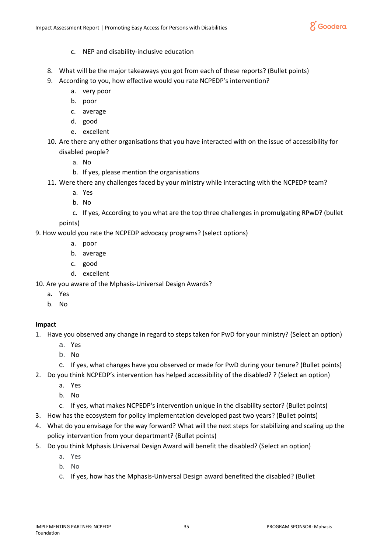

- c. NEP and disability-inclusive education
- 8. What will be the major takeaways you got from each of these reports? (Bullet points)
- 9. According to you, how effective would you rate NCPEDP's intervention?
	- a. very poor
	- b. poor
	- c. average
	- d. good
	- e. excellent
- 10. Are there any other organisations that you have interacted with on the issue of accessibility for disabled people?
	- a. No
	- b. If yes, please mention the organisations
- 11. Were there any challenges faced by your ministry while interacting with the NCPEDP team?
	- a. Yes
	- b. No
	- c. If yes, According to you what are the top three challenges in promulgating RPwD? (bullet

points)

9. How would you rate the NCPEDP advocacy programs? (select options)

- a. poor
- b. average
- c. good
- d. excellent
- 10. Are you aware of the Mphasis-Universal Design Awards?
	- a. Yes
	- b. No

# **Impact**

- 1. Have you observed any change in regard to steps taken for PwD for your ministry? (Select an option)
	- a. Yes
	- b. No
	- c. If yes, what changes have you observed or made for PwD during your tenure? (Bullet points)
- 2. Do you think NCPEDP's intervention has helped accessibility of the disabled? ? (Select an option)
	- a. Yes
	- b. No
	- c. If yes, what makes NCPEDP's intervention unique in the disability sector? (Bullet points)
- 3. How has the ecosystem for policy implementation developed past two years? (Bullet points)
- 4. What do you envisage for the way forward? What will the next steps for stabilizing and scaling up the policy intervention from your department? (Bullet points)
- 5. Do you think Mphasis Universal Design Award will benefit the disabled? (Select an option)
	- a. Yes
	- b. No
	- c. If yes, how has the Mphasis-Universal Design award benefited the disabled? (Bullet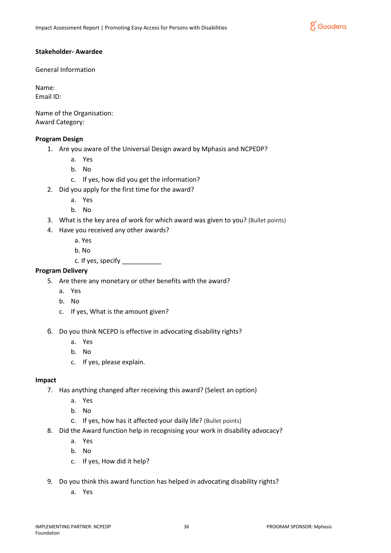

### **Stakeholder- Awardee**

General Information

Name: Email ID:

Name of the Organisation: Award Category:

## **Program Design**

- 1. Are you aware of the Universal Design award by Mphasis and NCPEDP?
	- a. Yes
	- b. No
	- c. If yes, how did you get the information?
- 2. Did you apply for the first time for the award?
	- a. Yes
	- b. No
- 3. What is the key area of work for which award was given to you? (Bullet points)
- 4. Have you received any other awards?
	- a. Yes
	- b. No
	- c. If yes, specify  $\frac{1}{2}$

## **Program Delivery**

- 5. Are there any monetary or other benefits with the award?
	- a. Yes
	- b. No
	- c. If yes, What is the amount given?
- 6. Do you think NCEPD is effective in advocating disability rights?
	- a. Yes
	- b. No
	- c. If yes, please explain.

## **Impact**

- 7. Has anything changed after receiving this award? (Select an option)
	- a. Yes
	- b. No
	- c. If yes, how has it affected your daily life? (Bullet points)
- 8. Did the Award function help in recognising your work in disability advocacy?
	- a. Yes
	- b. No
	- c. If yes, How did it help?
- 9. Do you think this award function has helped in advocating disability rights?
	- a. Yes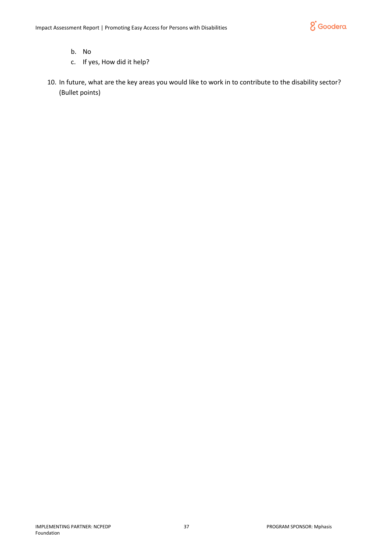

- b. No
- c. If yes, How did it help?
- 10. In future, what are the key areas you would like to work in to contribute to the disability sector? (Bullet points)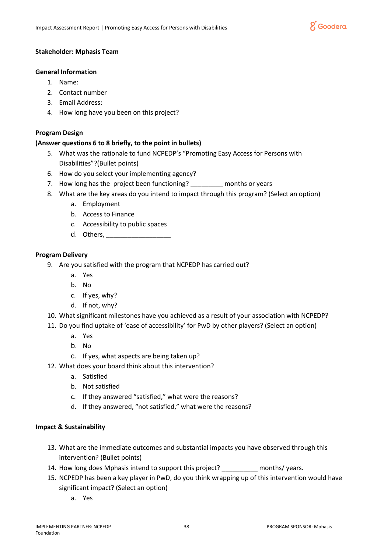

## **Stakeholder: Mphasis Team**

#### **General Information**

- 1. Name:
- 2. Contact number
- 3. Email Address:
- 4. How long have you been on this project?

## **Program Design**

## **(Answer questions 6 to 8 briefly, to the point in bullets)**

- 5. What was the rationale to fund NCPEDP's "Promoting Easy Access for Persons with Disabilities"?(Bullet points)
- 6. How do you select your implementing agency?
- 7. How long has the project been functioning? The months or years
- 8. What are the key areas do you intend to impact through this program? (Select an option)
	- a. Employment
	- b. Access to Finance
	- c. Accessibility to public spaces
	- d. Others,  $\frac{1}{\sqrt{2}}$

#### **Program Delivery**

- 9. Are you satisfied with the program that NCPEDP has carried out?
	- a. Yes
	- b. No
	- c. If yes, why?
	- d. If not, why?
- 10. What significant milestones have you achieved as a result of your association with NCPEDP?
- 11. Do you find uptake of 'ease of accessibility' for PwD by other players? (Select an option)
	- a. Yes
	- b. No
	- c. If yes, what aspects are being taken up?
- 12. What does your board think about this intervention?
	- a. Satisfied
	- b. Not satisfied
	- c. If they answered "satisfied," what were the reasons?
	- d. If they answered, "not satisfied," what were the reasons?

## **Impact & Sustainability**

- 13. What are the immediate outcomes and substantial impacts you have observed through this intervention? (Bullet points)
- 14. How long does Mphasis intend to support this project? \_\_\_\_\_\_\_\_\_\_ months/ years.
- 15. NCPEDP has been a key player in PwD, do you think wrapping up of this intervention would have significant impact? (Select an option)
	- a. Yes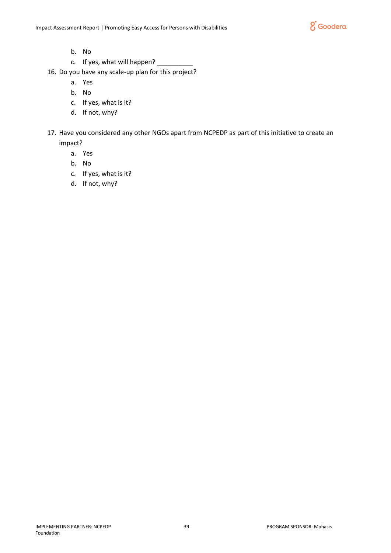

- b. No
- c. If yes, what will happen? \_\_\_\_\_\_\_\_\_\_
- 16. Do you have any scale-up plan for this project?
	- a. Yes
	- b. No
	- c. If yes, what is it?
	- d. If not, why?
- 17. Have you considered any other NGOs apart from NCPEDP as part of this initiative to create an impact?
	- a. Yes
	- b. No
	- c. If yes, what is it?
	- d. If not, why?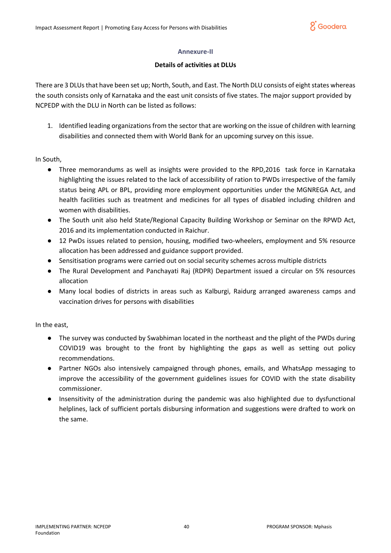

## **Annexure-II**

## **Details of activities at DLUs**

There are 3 DLUs that have been set up; North, South, and East. The North DLU consists of eight states whereas the south consists only of Karnataka and the east unit consists of five states. The major support provided by NCPEDP with the DLU in North can be listed as follows:

1. Identified leading organizations from the sector that are working on the issue of children with learning disabilities and connected them with World Bank for an upcoming survey on this issue.

In South,

- Three memorandums as well as insights were provided to the RPD,2016 task force in Karnataka highlighting the issues related to the lack of accessibility of ration to PWDs irrespective of the family status being APL or BPL, providing more employment opportunities under the MGNREGA Act, and health facilities such as treatment and medicines for all types of disabled including children and women with disabilities.
- The South unit also held State/Regional Capacity Building Workshop or Seminar on the RPWD Act, 2016 and its implementation conducted in Raichur.
- 12 PwDs issues related to pension, housing, modified two-wheelers, employment and 5% resource allocation has been addressed and guidance support provided.
- Sensitisation programs were carried out on social security schemes across multiple districts
- The Rural Development and Panchayati Raj (RDPR) Department issued a circular on 5% resources allocation
- Many local bodies of districts in areas such as Kalburgi, Raidurg arranged awareness camps and vaccination drives for persons with disabilities

In the east,

- The survey was conducted by Swabhiman located in the northeast and the plight of the PWDs during COVID19 was brought to the front by highlighting the gaps as well as setting out policy recommendations.
- Partner NGOs also intensively campaigned through phones, emails, and WhatsApp messaging to improve the accessibility of the government guidelines issues for COVID with the state disability commissioner.
- Insensitivity of the administration during the pandemic was also highlighted due to dysfunctional helplines, lack of sufficient portals disbursing information and suggestions were drafted to work on the same.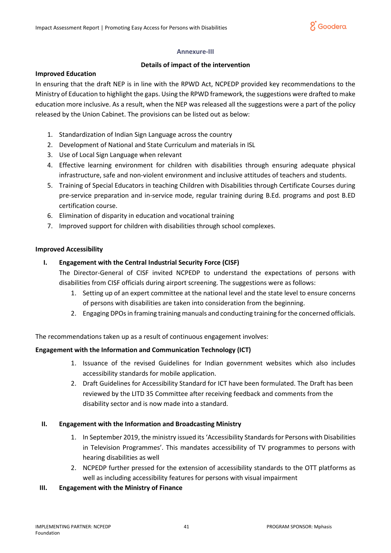

## **Annexure-III**

## **Details of impact of the intervention**

#### **Improved Education**

In ensuring that the draft NEP is in line with the RPWD Act, NCPEDP provided key recommendations to the Ministry of Education to highlight the gaps. Using the RPWD framework, the suggestions were drafted to make education more inclusive. As a result, when the NEP was released all the suggestions were a part of the policy released by the Union Cabinet. The provisions can be listed out as below:

- 1. Standardization of Indian Sign Language across the country
- 2. Development of National and State Curriculum and materials in ISL
- 3. Use of Local Sign Language when relevant
- 4. Effective learning environment for children with disabilities through ensuring adequate physical infrastructure, safe and non-violent environment and inclusive attitudes of teachers and students.
- 5. Training of Special Educators in teaching Children with Disabilities through Certificate Courses during pre-service preparation and in-service mode, regular training during B.Ed. programs and post B.ED certification course.
- 6. Elimination of disparity in education and vocational training
- 7. Improved support for children with disabilities through school complexes.

## **Improved Accessibility**

## **I. Engagement with the Central Industrial Security Force (CISF)**

The Director-General of CISF invited NCPEDP to understand the expectations of persons with disabilities from CISF officials during airport screening. The suggestions were as follows:

- 1. Setting up of an expert committee at the national level and the state level to ensure concerns of persons with disabilities are taken into consideration from the beginning.
- 2. Engaging DPOs in framing training manuals and conducting training for the concerned officials.

The recommendations taken up as a result of continuous engagement involves:

## **Engagement with the Information and Communication Technology (ICT)**

- 1. Issuance of the revised Guidelines for Indian government websites which also includes accessibility standards for mobile application.
- 2. Draft Guidelines for Accessibility Standard for ICT have been formulated. The Draft has been reviewed by the LITD 35 Committee after receiving feedback and comments from the disability sector and is now made into a standard.

## **II. Engagement with the Information and Broadcasting Ministry**

- 1. In September 2019, the ministry issued its 'Accessibility Standards for Persons with Disabilities in Television Programmes'. This mandates accessibility of TV programmes to persons with hearing disabilities as well
- 2. NCPEDP further pressed for the extension of accessibility standards to the OTT platforms as well as including accessibility features for persons with visual impairment

## **III. Engagement with the Ministry of Finance**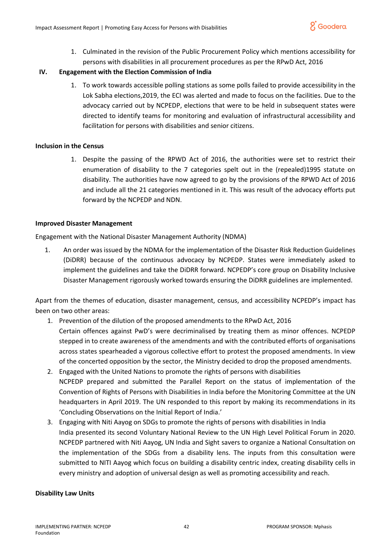1. Culminated in the revision of the Public Procurement Policy which mentions accessibility for persons with disabilities in all procurement procedures as per the RPwD Act, 2016

# **IV. Engagement with the Election Commission of India**

1. To work towards accessible polling stations as some polls failed to provide accessibility in the Lok Sabha elections,2019, the ECI was alerted and made to focus on the facilities. Due to the advocacy carried out by NCPEDP, elections that were to be held in subsequent states were directed to identify teams for monitoring and evaluation of infrastructural accessibility and facilitation for persons with disabilities and senior citizens.

## **Inclusion in the Census**

1. Despite the passing of the RPWD Act of 2016, the authorities were set to restrict their enumeration of disability to the 7 categories spelt out in the (repealed)1995 statute on disability. The authorities have now agreed to go by the provisions of the RPWD Act of 2016 and include all the 21 categories mentioned in it. This was result of the advocacy efforts put forward by the NCPEDP and NDN.

## **Improved Disaster Management**

Engagement with the National Disaster Management Authority (NDMA)

1. An order was issued by the NDMA for the implementation of the Disaster Risk Reduction Guidelines (DiDRR) because of the continuous advocacy by NCPEDP. States were immediately asked to implement the guidelines and take the DiDRR forward. NCPEDP's core group on Disability Inclusive Disaster Management rigorously worked towards ensuring the DiDRR guidelines are implemented.

Apart from the themes of education, disaster management, census, and accessibility NCPEDP's impact has been on two other areas:

- 1. Prevention of the dilution of the proposed amendments to the RPwD Act, 2016 Certain offences against PwD's were decriminalised by treating them as minor offences. NCPEDP stepped in to create awareness of the amendments and with the contributed efforts of organisations across states spearheaded a vigorous collective effort to protest the proposed amendments. In view of the concerted opposition by the sector, the Ministry decided to drop the proposed amendments.
- 2. Engaged with the United Nations to promote the rights of persons with disabilities NCPEDP prepared and submitted the Parallel Report on the status of implementation of the Convention of Rights of Persons with Disabilities in India before the Monitoring Committee at the UN headquarters in April 2019. The UN responded to this report by making its recommendations in its 'Concluding Observations on the Initial Report of India.'
- 3. Engaging with Niti Aayog on SDGs to promote the rights of persons with disabilities in India India presented its second Voluntary National Review to the UN High Level Political Forum in 2020. NCPEDP partnered with Niti Aayog, UN India and Sight savers to organize a National Consultation on the implementation of the SDGs from a disability lens. The inputs from this consultation were submitted to NITI Aayog which focus on building a disability centric index, creating disability cells in every ministry and adoption of universal design as well as promoting accessibility and reach.

## **Disability Law Units**